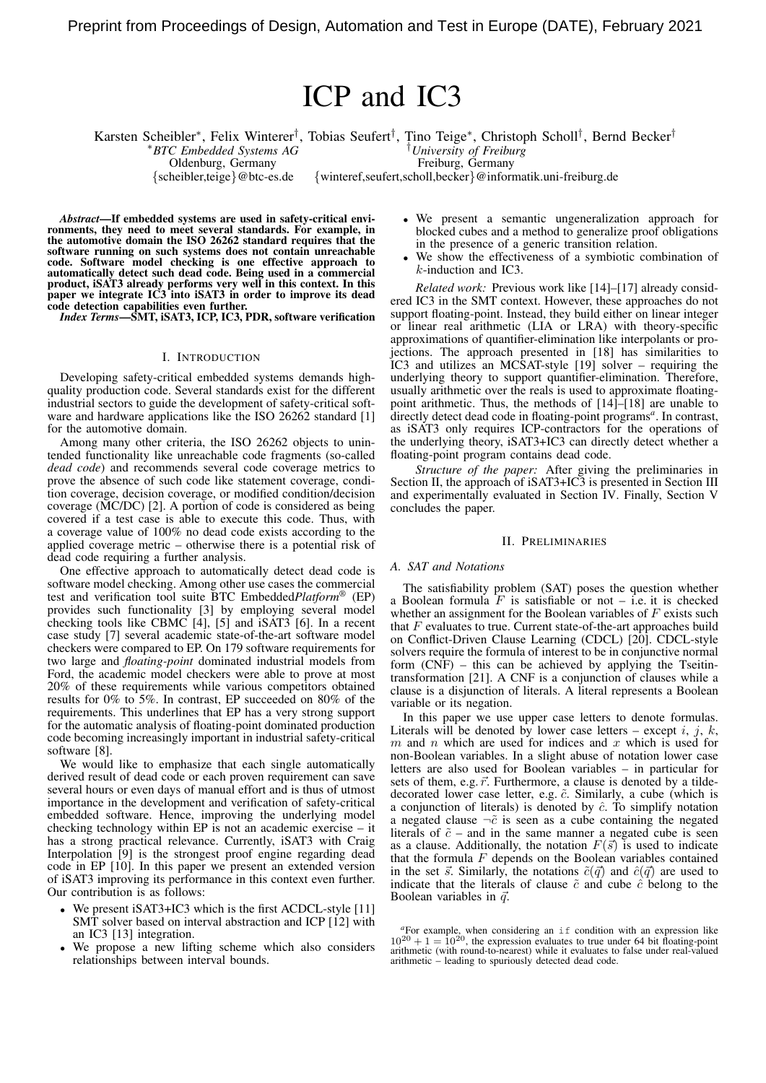# ICP and IC3

Karsten Scheibler<sup>∗</sup> , Felix Winterer† , Tobias Seufert† , Tino Teige<sup>∗</sup> , Christoph Scholl† , Bernd Becker† <sup>∗</sup>*BTC Embedded Systems AG* †*University of Freiburg*

Oldenburg, Germany Freiburg, Germany

{scheibler,teige}@btc-es.de {winteref,seufert,scholl,becker}@informatik.uni-freiburg.de

*Abstract*—If embedded systems are used in safety-critical environments, they need to meet several standards. For example, in the automotive domain the ISO 26262 standard requires that the software running on such systems does not contain unreachable code. Software model checking is one effective approach to automatically detect such dead code. Being used in a commercial product, iSAT3 already performs very well in this context. In this paper we integrate IC3 into iSAT3 in order to improve its dead code detection capabilities even further.

*Index Terms*—SMT, iSAT3, ICP, IC3, PDR, software verification

## I. INTRODUCTION

Developing safety-critical embedded systems demands highquality production code. Several standards exist for the different industrial sectors to guide the development of safety-critical software and hardware applications like the ISO 26262 standard [1] for the automotive domain.

Among many other criteria, the ISO 26262 objects to unintended functionality like unreachable code fragments (so-called *dead code*) and recommends several code coverage metrics to prove the absence of such code like statement coverage, condition coverage, decision coverage, or modified condition/decision coverage (MC/DC) [2]. A portion of code is considered as being covered if a test case is able to execute this code. Thus, with a coverage value of 100% no dead code exists according to the applied coverage metric – otherwise there is a potential risk of dead code requiring a further analysis.

One effective approach to automatically detect dead code is software model checking. Among other use cases the commercial test and verification tool suite BTC Embedded*Platform*® (EP) provides such functionality [3] by employing several model checking tools like CBMC [4], [5] and iSAT3 [6]. In a recent case study [7] several academic state-of-the-art software model checkers were compared to EP. On 179 software requirements for two large and *floating-point* dominated industrial models from Ford, the academic model checkers were able to prove at most 20% of these requirements while various competitors obtained results for 0% to 5%. In contrast, EP succeeded on 80% of the requirements. This underlines that EP has a very strong support for the automatic analysis of floating-point dominated production code becoming increasingly important in industrial safety-critical software [8].

We would like to emphasize that each single automatically derived result of dead code or each proven requirement can save several hours or even days of manual effort and is thus of utmost importance in the development and verification of safety-critical embedded software. Hence, improving the underlying model checking technology within EP is not an academic exercise – it has a strong practical relevance. Currently, *iSAT3* with Craig Interpolation [9] is the strongest proof engine regarding dead code in EP [10]. In this paper we present an extended version of iSAT3 improving its performance in this context even further. Our contribution is as follows:

- We present iSAT3+IC3 which is the first ACDCL-style [11] SMT solver based on interval abstraction and ICP [12] with an IC3 [13] integration.
- We propose a new lifting scheme which also considers relationships between interval bounds.
- We present a semantic ungeneralization approach for blocked cubes and a method to generalize proof obligations in the presence of a generic transition relation.
- We show the effectiveness of a symbiotic combination of k-induction and IC3.

*Related work:* Previous work like [14]–[17] already considered IC3 in the SMT context. However, these approaches do not support floating-point. Instead, they build either on linear integer or linear real arithmetic (LIA or LRA) with theory-specific approximations of quantifier-elimination like interpolants or projections. The approach presented in [18] has similarities to IC3 and utilizes an MCSAT-style [19] solver – requiring the underlying theory to support quantifier-elimination. Therefore, usually arithmetic over the reals is used to approximate floatingpoint arithmetic. Thus, the methods of [14]–[18] are unable to directly detect dead code in floating-point programs*<sup>a</sup>* . In contrast, as iSAT3 only requires ICP-contractors for the operations of the underlying theory, iSAT3+IC3 can directly detect whether a floating-point program contains dead code.

*Structure of the paper:* After giving the preliminaries in Section II, the approach of iSAT3+IC3 is presented in Section III and experimentally evaluated in Section IV. Finally, Section V concludes the paper.

### II. PRELIMINARIES

#### *A. SAT and Notations*

The satisfiability problem (SAT) poses the question whether a Boolean formula  $\overline{F}$  is satisfiable or not – i.e. it is checked whether an assignment for the Boolean variables of  $F$  exists such that  $F$  evaluates to true. Current state-of-the-art approaches build on Conflict-Driven Clause Learning (CDCL) [20]. CDCL-style solvers require the formula of interest to be in conjunctive normal form (CNF) – this can be achieved by applying the Tseitintransformation [21]. A CNF is a conjunction of clauses while a clause is a disjunction of literals. A literal represents a Boolean variable or its negation.

In this paper we use upper case letters to denote formulas. Literals will be denoted by lower case letters – except i, j, k, m and n which are used for indices and x which is used for non-Boolean variables. In a slight abuse of notation lower case letters are also used for Boolean variables – in particular for sets of them, e.g.  $\vec{r}$ . Furthermore, a clause is denoted by a tildedecorated lower case letter, e.g.  $\tilde{c}$ . Similarly, a cube (which is a conjunction of literals) is denoted by  $\hat{c}$ . To simplify notation a negated clause  $\neg \tilde{c}$  is seen as a cube containing the negated literals of  $\tilde{c}$  – and in the same manner a negated cube is seen as a clause. Additionally, the notation  $F(\vec{s})$  is used to indicate that the formula  $F$  depends on the Boolean variables contained in the set  $\vec{s}$ . Similarly, the notations  $\tilde{c}(\vec{q})$  and  $\hat{c}(\vec{q})$  are used to indicate that the literals of clause  $\tilde{c}$  and cube  $\hat{c}$  belong to the Boolean variables in  $\vec{q}$ .

*<sup>a</sup>*For example, when considering an if condition with an expression like  $10^{20} + 1 = 10^{20}$ , the expression evaluates to true under 64 bit floating-point arithmetic (with round-to-nearest) while it evaluates to false under real-valued arithmetic – leading to spuriously detected dead code.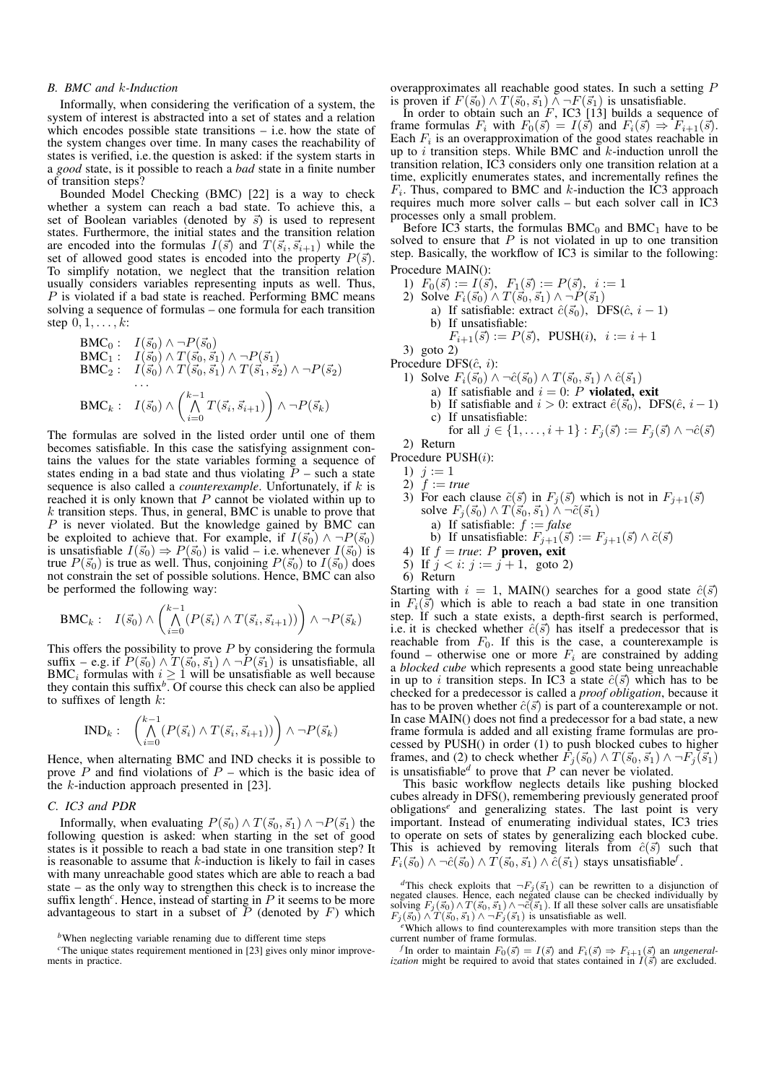#### *B. BMC and* k*-Induction*

Informally, when considering the verification of a system, the system of interest is abstracted into a set of states and a relation which encodes possible state transitions  $-$  i.e. how the state of the system changes over time. In many cases the reachability of states is verified, i.e.the question is asked: if the system starts in a *good* state, is it possible to reach a *bad* state in a finite number of transition steps?

Bounded Model Checking (BMC) [22] is a way to check whether a system can reach a bad state. To achieve this, a set of Boolean variables (denoted by  $\vec{s}$ ) is used to represent states. Furthermore, the initial states and the transition relation are encoded into the formulas  $I(\vec{s})$  and  $T(\vec{s}_i, \vec{s}_{i+1})$  while the set of allowed good states is encoded into the property  $P(\vec{s})$ . To simplify notation, we neglect that the transition relation usually considers variables representing inputs as well. Thus,  $P$  is violated if a bad state is reached. Performing BMC means solving a sequence of formulas – one formula for each transition step  $0, 1, \ldots, k$ :

**BMC<sub>0</sub>**: 
$$
I(\vec{s}_0) \wedge \neg P(\vec{s}_0)
$$
  
\n**BMC<sub>1</sub>**:  $I(\vec{s}_0) \wedge T(\vec{s}_0, \vec{s}_1) \wedge \neg P(\vec{s}_1)$   
\n**BMC<sub>2</sub>**:  $I(\vec{s}_0) \wedge T(\vec{s}_0, \vec{s}_1) \wedge T(\vec{s}_1, \vec{s}_2) \wedge \neg P(\vec{s}_2)$   
\n...  
\n**BMC<sub>k</sub>**:  $I(\vec{s}_0) \wedge \left(\bigwedge_{i=0}^{k-1} T(\vec{s}_i, \vec{s}_{i+1})\right) \wedge \neg P(\vec{s}_k)$ 

The formulas are solved in the listed order until one of them becomes satisfiable. In this case the satisfying assignment contains the values for the state variables forming a sequence of states ending in a bad state and thus violating  $\tilde{P}$  – such a state sequence is also called a *counterexample*. Unfortunately, if k is reached it is only known that  $P$  cannot be violated within up to  $k$  transition steps. Thus, in general, BMC is unable to prove that  $P$  is never violated. But the knowledge gained by BMC can be exploited to achieve that. For example, if  $I(\vec{s}_0) \wedge \neg P(\vec{s}_0)$ is unsatisfiable  $I(\vec{s}_0) \Rightarrow P(\vec{s}_0)$  is valid – i.e. whenever  $I(\vec{s}_0)$  is true  $P(\vec{s}_0)$  is true as well. Thus, conjoining  $P(\vec{s}_0)$  to  $I(\vec{s}_0)$  does not constrain the set of possible solutions. Hence, BMC can also be performed the following way:

**BMC**<sub>k</sub>: 
$$
I(\vec{s}_0) \wedge \left( \bigwedge_{i=0}^{k-1} (P(\vec{s}_i) \wedge T(\vec{s}_i, \vec{s}_{i+1})) \right) \wedge \neg P(\vec{s}_k)
$$

This offers the possibility to prove  $P$  by considering the formula suffix – e.g. if  $\overline{P(\vec{s_0}) \wedge T(\vec{s_0}, \vec{s_1}) \wedge \neg P(\vec{s_1})}$  is unsatisfiable, all BMC<sub>i</sub> formulas with  $i \geq 1$  will be unsatisfiable as well because they contain this suffix*<sup>b</sup>* . Of course this check can also be applied to suffixes of length  $k$ :

$$
\text{IND}_k: \quad \left(\bigwedge_{i=0}^{k-1} (P(\vec{s}_i) \wedge T(\vec{s}_i, \vec{s}_{i+1}))\right) \wedge \neg P(\vec{s}_k)
$$

Hence, when alternating BMC and IND checks it is possible to prove  $P$  and find violations of  $P$  – which is the basic idea of the k-induction approach presented in [23].

## *C. IC3 and PDR*

Informally, when evaluating  $P(\vec{s}_0) \wedge T(\vec{s}_0, \vec{s}_1) \wedge \neg P(\vec{s}_1)$  the following question is asked: when starting in the set of good states is it possible to reach a bad state in one transition step? It is reasonable to assume that  $k$ -induction is likely to fail in cases with many unreachable good states which are able to reach a bad state – as the only way to strengthen this check is to increase the suffix length<sup>c</sup>. Hence, instead of starting in  $P$  it seems to be more advantageous to start in a subset of  $\overline{P}$  (denoted by  $F$ ) which

overapproximates all reachable good states. In such a setting P is proven if  $F(\vec{s}_0) \wedge T(\vec{s}_0, \vec{s}_1) \wedge \neg F(\vec{s}_1)$  is unsatisfiable.

In order to obtain such an  $F$ , IC3 [13] builds a sequence of frame formulas  $F_i$  with  $F_0(\vec{s}) = I(\vec{s})$  and  $F_i(\vec{s}) \Rightarrow F_{i+1}(\vec{s})$ . Each  $F_i$  is an overapproximation of the good states reachable in up to i transition steps. While BMC and  $k$ -induction unroll the transition relation, IC3 considers only one transition relation at a time, explicitly enumerates states, and incrementally refines the  $F_i$ . Thus, compared to BMC and k-induction the IC3 approach requires much more solver calls – but each solver call in IC3 processes only a small problem.

Before IC3 starts, the formulas  $BMC_0$  and  $BMC_1$  have to be solved to ensure that  $P$  is not violated in up to one transition step. Basically, the workflow of IC3 is similar to the following: Procedure MAIN():

- 1)  $F_0(\vec{s}) := I(\vec{s}), F_1(\vec{s}) := P(\vec{s}), i := 1$
- 2) Solve  $F_i(\vec{s_0}) \wedge T(\vec{s_0}, \vec{s_1}) \wedge \neg P(\vec{s_1})$ 
	- a) If satisfiable: extract  $\hat{c}(\vec{s}_0)$ , DFS( $\hat{c}$ ,  $i 1$ ) b) If unsatisfiable:

$$
F_{i+1}(\vec{s}) := P(\vec{s}), \text{ PUSH}(i), \ i := i+1
$$
3) goto 2)

- Procedure DFS $(\hat{c}, i)$ :
	- 1) Solve  $F_i(\vec{s}_0) \wedge \neg \hat{c}(\vec{s}_0) \wedge T(\vec{s}_0, \vec{s}_1) \wedge \hat{c}(\vec{s}_1)$ 
		- a) If satisfiable and  $i = 0$ : P violated, exit
		- b) If satisfiable and  $i > 0$ : extract  $\hat{e}(\vec{s}_0)$ , DFS( $\hat{e}, i 1$ )
		- c) If unsatisfiable:
		- for all  $j \in \{1, ..., i + 1\} : F_j(\vec{s}) := F_j(\vec{s}) \wedge \neg \hat{c}(\vec{s})$

2) Return

Procedure PUSH(i):

- 
- 3) For each clause  $\tilde{c}(\vec{s})$  in  $F_j(\vec{s})$  which is not in  $F_{j+1}(\vec{s})$ solve  $F_j(\vec{s}_0) \wedge T(\vec{s}_0, \vec{s}_1) \wedge \neg \tilde{c}(\vec{s}_1)$ 
	- a) If satisfiable: f := *false*
	- b) If unsatisfiable:  $F_{j+1}(\vec{s}) := F_{j+1}(\vec{s}) \wedge \tilde{c}(\vec{s})$

4) If 
$$
f = true
$$
:  $P$  proven, exit

5) If  $j < i$ :  $j := j + 1$ , goto 2)

6) Return

Starting with  $i = 1$ , MAIN() searches for a good state  $\hat{c}(\vec{s})$ in  $F_i(\vec{s})$  which is able to reach a bad state in one transition step. If such a state exists, a depth-first search is performed, i.e. it is checked whether  $\hat{c}(\vec{s})$  has itself a predecessor that is reachable from  $F_0$ . If this is the case, a counterexample is found – otherwise one or more  $F_i$  are constrained by adding a *blocked cube* which represents a good state being unreachable in up to i transition steps. In IC3 a state  $\hat{c}(\vec{s})$  which has to be checked for a predecessor is called a *proof obligation*, because it has to be proven whether  $\hat{c}(\vec{s})$  is part of a counterexample or not. In case MAIN() does not find a predecessor for a bad state, a new frame formula is added and all existing frame formulas are processed by PUSH() in order (1) to push blocked cubes to higher frames, and (2) to check whether  $\bar{F}_j(\vec{s}_0) \wedge T(\vec{s}_0, \vec{s}_1) \wedge \neg F_j(\vec{s}_1)$ is unsatisfiable<sup> $d$ </sup> to prove that  $P$  can never be violated.

This basic workflow neglects details like pushing blocked cubes already in DFS(), remembering previously generated proof obligations*<sup>e</sup>* and generalizing states. The last point is very important. Instead of enumerating individual states, IC3 tries to operate on sets of states by generalizing each blocked cube. This is achieved by removing literals from  $\hat{c}(\vec{s})$  such that  $F_i(\vec{s}_0) \wedge \neg \hat{c}(\vec{s}_0) \wedge \vec{T}(\vec{s}_0, \vec{s}_1) \wedge \vec{c}(\vec{s}_1)$  stays unsatisfiable<sup>f</sup>.

*<sup>b</sup>*When neglecting variable renaming due to different time steps

<sup>&</sup>lt;sup>c</sup>The unique states requirement mentioned in [23] gives only minor improvements in practice.

<sup>1)</sup>  $j := 1$ 2)  $f := true$ 

<sup>&</sup>lt;sup>d</sup>This check exploits that  $\neg F_j(\vec{s}_1)$  can be rewritten to a disjunction of negated clauses. Hence, each negated clause can be checked individually by solving  $F_j(\vec{s}_0) \wedge T(\vec{s}_0, \vec{s}_1) \wedge \neg \vec{c}(\vec{s}_1)$ . If all these sol  $F_j(\vec{s}_0) \wedge T(\vec{s}_0, \vec{s}_1) \wedge \neg F_j(\vec{s}_1)$  is unsatisfiable as well.

*<sup>e</sup>*Which allows to find counterexamples with more transition steps than the current number of frame formulas.

*f* In order to maintain  $F_0(\vec{s}) = I(\vec{s})$  and  $F_i(\vec{s}) \Rightarrow F_{i+1}(\vec{s})$  an *ungeneral-ization* might be required to avoid that states contained in  $I(\vec{s})$  are excluded.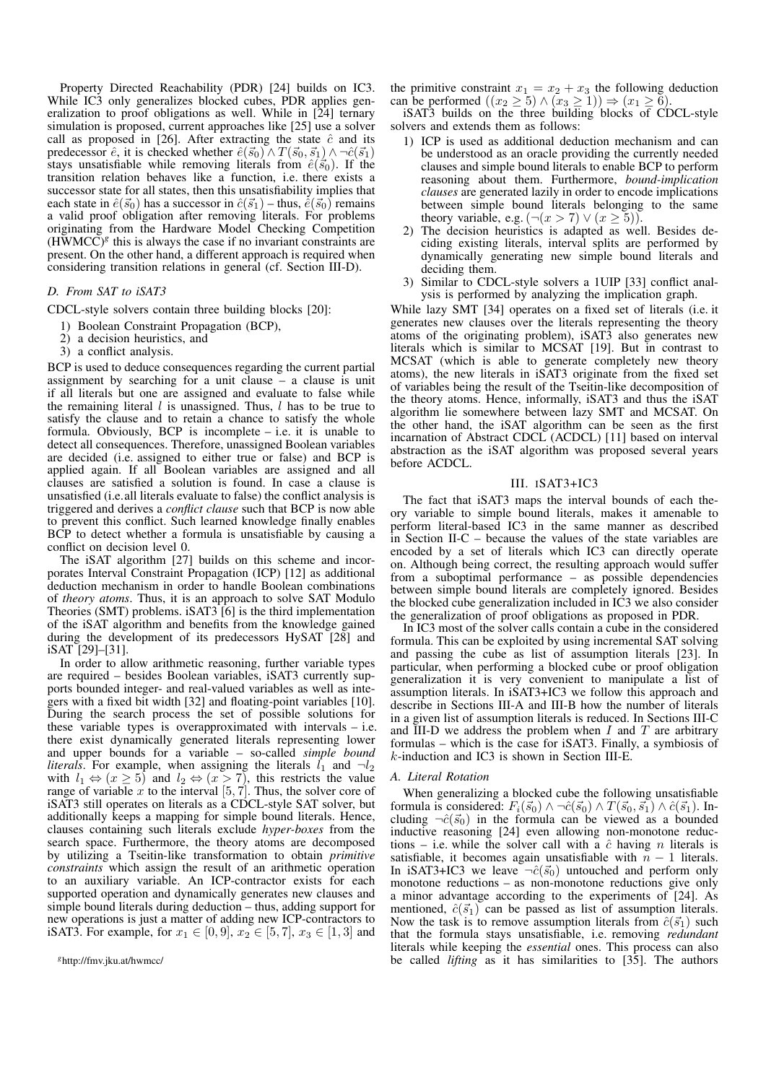Property Directed Reachability (PDR) [24] builds on IC3. While IC3 only generalizes blocked cubes, PDR applies generalization to proof obligations as well. While in [24] ternary simulation is proposed, current approaches like [25] use a solver call as proposed in [26]. After extracting the state  $\hat{c}$  and its predecessor  $\hat{e}$ , it is checked whether  $\hat{e}(\vec{s}_0) \wedge T(\vec{s}_0, \vec{s}_1) \wedge \neg \hat{c}(\vec{s}_1)$ stays unsatisfiable while removing literals from  $\hat{e}(\vec{s}_0)$ . If the transition relation behaves like a function, i.e. there exists a successor state for all states, then this unsatisfiability implies that each state in  $\hat{e}(\vec{s}_0)$  has a successor in  $\hat{c}(\vec{s}_1)$  – thus,  $\hat{e}(\vec{s}_0)$  remains a valid proof obligation after removing literals. For problems originating from the Hardware Model Checking Competition  $(H\widetilde{W}MCC)^{g}$  this is always the case if no invariant constraints are present. On the other hand, a different approach is required when considering transition relations in general (cf. Section III-D).

## *D. From SAT to iSAT3*

CDCL-style solvers contain three building blocks [20]:

- 1) Boolean Constraint Propagation (BCP),
- 2) a decision heuristics, and
- 3) a conflict analysis.

BCP is used to deduce consequences regarding the current partial assignment by searching for a unit clause – a clause is unit if all literals but one are assigned and evaluate to false while the remaining literal  $l$  is unassigned. Thus,  $l$  has to be true to satisfy the clause and to retain a chance to satisfy the whole formula. Obviously, BCP is incomplete – i.e. it is unable to detect all consequences. Therefore, unassigned Boolean variables are decided (i.e. assigned to either true or false) and BCP is applied again. If all Boolean variables are assigned and all clauses are satisfied a solution is found. In case a clause is unsatisfied (i.e.all literals evaluate to false) the conflict analysis is triggered and derives a *conflict clause* such that BCP is now able to prevent this conflict. Such learned knowledge finally enables BCP to detect whether a formula is unsatisfiable by causing a conflict on decision level 0.

The iSAT algorithm [27] builds on this scheme and incorporates Interval Constraint Propagation (ICP) [12] as additional deduction mechanism in order to handle Boolean combinations of *theory atoms*. Thus, it is an approach to solve SAT Modulo Theories (SMT) problems. iSAT3 [6] is the third implementation of the iSAT algorithm and benefits from the knowledge gained during the development of its predecessors HySAT [28] and iSAT [29]–[31].

In order to allow arithmetic reasoning, further variable types are required – besides Boolean variables, iSAT3 currently supports bounded integer- and real-valued variables as well as integers with a fixed bit width [32] and floating-point variables [10]. During the search process the set of possible solutions for these variable types is overapproximated with intervals – i.e. there exist dynamically generated literals representing lower and upper bounds for a variable – so-called *simple bound literals*. For example, when assigning the literals  $l_1$  and  $\neg l_2$ with  $l_1 \Leftrightarrow (x \ge 5)$  and  $l_2 \Leftrightarrow (x > 7)$ , this restricts the value range of variable x to the interval  $[5, 7]$ . Thus, the solver core of iSAT3 still operates on literals as a CDCL-style SAT solver, but additionally keeps a mapping for simple bound literals. Hence, clauses containing such literals exclude *hyper-boxes* from the search space. Furthermore, the theory atoms are decomposed by utilizing a Tseitin-like transformation to obtain *primitive constraints* which assign the result of an arithmetic operation to an auxiliary variable. An ICP-contractor exists for each supported operation and dynamically generates new clauses and simple bound literals during deduction – thus, adding support for new operations is just a matter of adding new ICP-contractors to iSAT3. For example, for  $x_1 \in [0, 9]$ ,  $x_2 \in [5, 7]$ ,  $x_3 \in [1, 3]$  and

the primitive constraint  $x_1 = x_2 + x_3$  the following deduction can be performed  $((x_2 \geq 5) \land (x_3 \geq 1)) \Rightarrow (x_1 \geq 6)$ .

iSAT3 builds on the three building blocks of CDCL-style solvers and extends them as follows:

- 1) ICP is used as additional deduction mechanism and can be understood as an oracle providing the currently needed clauses and simple bound literals to enable BCP to perform reasoning about them. Furthermore, *bound-implication clauses* are generated lazily in order to encode implications between simple bound literals belonging to the same theory variable, e.g.  $(\neg(x > 7) \lor (x \ge 5))$ .
- 2) The decision heuristics is adapted as well. Besides deciding existing literals, interval splits are performed by dynamically generating new simple bound literals and deciding them.
- 3) Similar to CDCL-style solvers a 1UIP [33] conflict analysis is performed by analyzing the implication graph.

While lazy SMT [34] operates on a fixed set of literals (i.e. it generates new clauses over the literals representing the theory atoms of the originating problem), iSAT3 also generates new literals which is similar to MCSAT [19]. But in contrast to MCSAT (which is able to generate completely new theory atoms), the new literals in iSAT3 originate from the fixed set of variables being the result of the Tseitin-like decomposition of the theory atoms. Hence, informally, iSAT3 and thus the iSAT algorithm lie somewhere between lazy SMT and MCSAT. On the other hand, the iSAT algorithm can be seen as the first incarnation of Abstract CDCL (ACDCL) [11] based on interval abstraction as the iSAT algorithm was proposed several years before ACDCL.

### III. ISAT3+IC3

The fact that iSAT3 maps the interval bounds of each theory variable to simple bound literals, makes it amenable to perform literal-based IC3 in the same manner as described in Section II-C – because the values of the state variables are encoded by a set of literals which IC3 can directly operate on. Although being correct, the resulting approach would suffer from a suboptimal performance – as possible dependencies between simple bound literals are completely ignored. Besides the blocked cube generalization included in IC3 we also consider the generalization of proof obligations as proposed in PDR.

In IC3 most of the solver calls contain a cube in the considered formula. This can be exploited by using incremental SAT solving and passing the cube as list of assumption literals [23]. In particular, when performing a blocked cube or proof obligation generalization it is very convenient to manipulate a list of assumption literals. In iSAT3+IC3 we follow this approach and describe in Sections III-A and III-B how the number of literals in a given list of assumption literals is reduced. In Sections III-C and III-D we address the problem when  $I$  and  $T$  are arbitrary formulas – which is the case for iSAT3. Finally, a symbiosis of k-induction and IC3 is shown in Section III-E.

## *A. Literal Rotation*

When generalizing a blocked cube the following unsatisfiable formula is considered:  $F_i(\vec{s}_0) \wedge \neg \hat{c}(\vec{s}_0) \wedge T(\vec{s}_0, \vec{s}_1) \wedge \hat{c}(\vec{s}_1)$ . Including  $\neg \hat{c}(\vec{s_0})$  in the formula can be viewed as a bounded inductive reasoning [24] even allowing non-monotone reductions – i.e. while the solver call with a  $\hat{c}$  having *n* literals is satisfiable, it becomes again unsatisfiable with  $n - 1$  literals. In iSAT3+IC3 we leave  $\neg \hat{c}(\vec{s_0})$  untouched and perform only monotone reductions – as non-monotone reductions give only a minor advantage according to the experiments of [24]. As mentioned,  $\hat{c}(\vec{s}_1)$  can be passed as list of assumption literals. Now the task is to remove assumption literals from  $\hat{c}(\vec{s}_1)$  such that the formula stays unsatisfiable, i.e. removing *redundant* literals while keeping the *essential* ones. This process can also be called *lifting* as it has similarities to [35]. The authors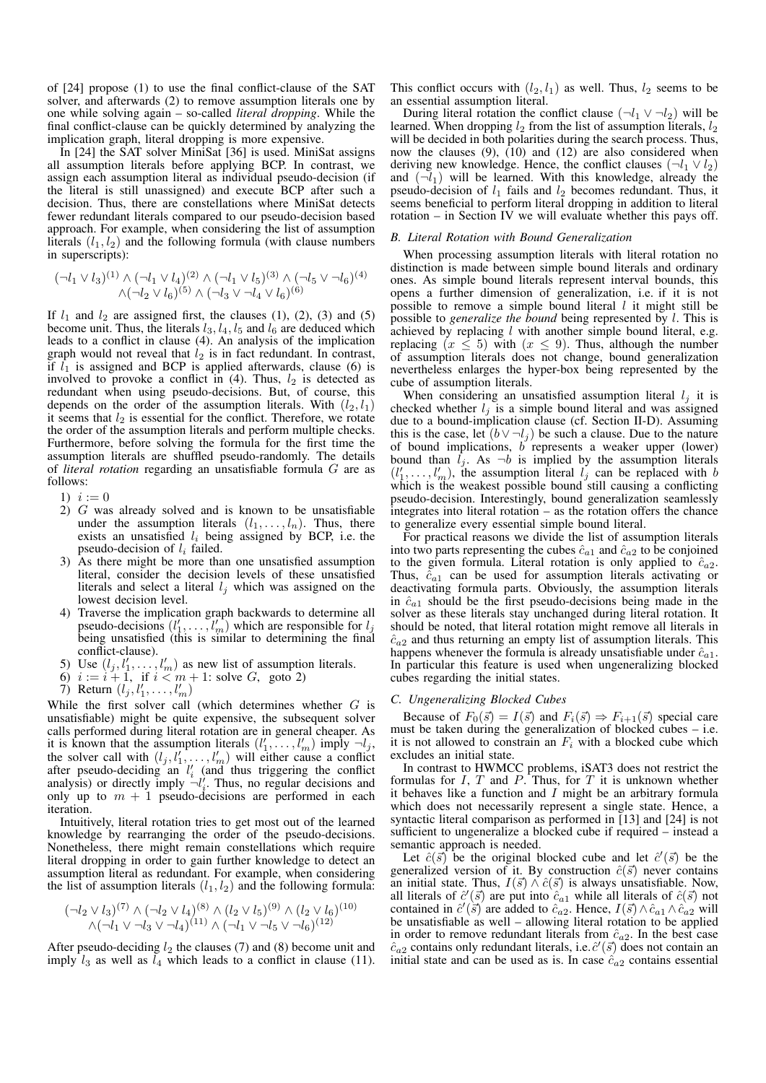of [24] propose (1) to use the final conflict-clause of the SAT solver, and afterwards (2) to remove assumption literals one by one while solving again – so-called *literal dropping*. While the final conflict-clause can be quickly determined by analyzing the implication graph, literal dropping is more expensive.

In [24] the SAT solver MiniSat [36] is used. MiniSat assigns all assumption literals before applying BCP. In contrast, we assign each assumption literal as individual pseudo-decision (if the literal is still unassigned) and execute BCP after such a decision. Thus, there are constellations where MiniSat detects fewer redundant literals compared to our pseudo-decision based approach. For example, when considering the list of assumption literals  $(l_1, l_2)$  and the following formula (with clause numbers in superscripts):

$$
(\neg l_1 \lor l_3)^{(1)} \land (\neg l_1 \lor l_4)^{(2)} \land (\neg l_1 \lor l_5)^{(3)} \land (\neg l_5 \lor \neg l_6)^{(4)}
$$
  

$$
\land (\neg l_2 \lor l_6)^{(5)} \land (\neg l_3 \lor \neg l_4 \lor l_6)^{(6)}
$$

If  $l_1$  and  $l_2$  are assigned first, the clauses (1), (2), (3) and (5) become unit. Thus, the literals  $l_3$ ,  $l_4$ ,  $l_5$  and  $l_6$  are deduced which leads to a conflict in clause (4). An analysis of the implication graph would not reveal that  $l_2$  is in fact redundant. In contrast, if  $l_1$  is assigned and BCP is applied afterwards, clause (6) is involved to provoke a conflict in  $(4)$ . Thus,  $l_2$  is detected as redundant when using pseudo-decisions. But, of course, this depends on the order of the assumption literals. With  $(l_2, l_1)$ it seems that  $l_2$  is essential for the conflict. Therefore, we rotate the order of the assumption literals and perform multiple checks. Furthermore, before solving the formula for the first time the assumption literals are shuffled pseudo-randomly. The details of *literal rotation* regarding an unsatisfiable formula G are as follows:

- 1)  $i := 0$
- $2)$  G was already solved and is known to be unsatisfiable under the assumption literals  $(l_1, \ldots, l_n)$ . Thus, there exists an unsatisfied  $l_i$  being assigned by BCP, i.e. the pseudo-decision of  $l_i$  failed.
- 3) As there might be more than one unsatisfied assumption literal, consider the decision levels of these unsatisfied literals and select a literal  $l_i$  which was assigned on the lowest decision level.
- 4) Traverse the implication graph backwards to determine all pseudo-decisions  $(l'_1, \ldots, l'_m)$  which are responsible for  $l_j$ being unsatisfied (this is similar to determining the final conflict-clause).
- 5) Use  $(l_j, l'_1, \ldots, l'_m)$  as new list of assumption literals.
- 6)  $i := i + 1$ , if  $i < m + 1$ : solve G, goto 2)
- 7) Return  $(l_1, l'_1, \ldots, l'_m)$

While the first solver call (which determines whether  $G$  is unsatisfiable) might be quite expensive, the subsequent solver calls performed during literal rotation are in general cheaper. As it is known that the assumption literals  $(l'_1, \ldots, l'_m)$  imply  $\neg l_j$ , the solver call with  $(l_j, l'_1, \ldots, l'_m)$  will either cause a conflict after pseudo-deciding an  $l_i$  (and thus triggering the conflict analysis) or directly imply  $\neg l_i^j$ . Thus, no regular decisions and only up to  $m + 1$  pseudo-decisions are performed in each iteration.

Intuitively, literal rotation tries to get most out of the learned knowledge by rearranging the order of the pseudo-decisions. Nonetheless, there might remain constellations which require literal dropping in order to gain further knowledge to detect an assumption literal as redundant. For example, when considering the list of assumption literals  $(l_1, l_2)$  and the following formula:

$$
(\neg l_2 \lor l_3)^{(7)} \land (\neg l_2 \lor l_4)^{(8)} \land (l_2 \lor l_5)^{(9)} \land (l_2 \lor l_6)^{(10)} \land (\neg l_1 \lor \neg l_3 \lor \neg l_4)^{(11)} \land (\neg l_1 \lor \neg l_5 \lor \neg l_6)^{(12)}
$$

After pseudo-deciding  $l_2$  the clauses (7) and (8) become unit and imply  $l_3$  as well as  $l_4$  which leads to a conflict in clause (11). This conflict occurs with  $(l_2, l_1)$  as well. Thus,  $l_2$  seems to be an essential assumption literal.

During literal rotation the conflict clause  $(\neg l_1 \lor \neg l_2)$  will be learned. When dropping  $l_2$  from the list of assumption literals,  $l_2$ will be decided in both polarities during the search process. Thus, now the clauses  $(9)$ ,  $(10)$  and  $(12)$  are also considered when deriving new knowledge. Hence, the conflict clauses  $(\neg l_1 \lor l_2)$ and  $(\neg l_1)$  will be learned. With this knowledge, already the pseudo-decision of  $l_1$  fails and  $l_2$  becomes redundant. Thus, it seems beneficial to perform literal dropping in addition to literal rotation – in Section IV we will evaluate whether this pays off.

#### *B. Literal Rotation with Bound Generalization*

When processing assumption literals with literal rotation no distinction is made between simple bound literals and ordinary ones. As simple bound literals represent interval bounds, this opens a further dimension of generalization, i.e. if it is not possible to remove a simple bound literal  $l$  it might still be possible to *generalize the bound* being represented by l. This is achieved by replacing  $l$  with another simple bound literal, e.g. replacing  $(x \le 5)$  with  $(x \le 9)$ . Thus, although the number of assumption literals does not change, bound generalization nevertheless enlarges the hyper-box being represented by the cube of assumption literals.

When considering an unsatisfied assumption literal  $l_i$  it is checked whether  $l_j$  is a simple bound literal and was assigned due to a bound-implication clause (cf. Section II-D). Assuming this is the case, let  $(b \vee \neg l_j)$  be such a clause. Due to the nature of bound implications,  $b$  represents a weaker upper (lower) bound than  $l_j$ . As  $\neg b$  is implied by the assumption literals  $(l'_1, \ldots, l'_m)$ , the assumption literal  $l_j$  can be replaced with b which is the weakest possible bound still causing a conflicting pseudo-decision. Interestingly, bound generalization seamlessly integrates into literal rotation  $-$  as the rotation offers the chance to generalize every essential simple bound literal.

For practical reasons we divide the list of assumption literals into two parts representing the cubes  $\hat{c}_{a1}$  and  $\hat{c}_{a2}$  to be conjoined to the given formula. Literal rotation is only applied to  $\hat{c}_{a2}$ . Thus,  $\hat{c}_{a1}$  can be used for assumption literals activating or deactivating formula parts. Obviously, the assumption literals in  $\hat{c}_{a1}$  should be the first pseudo-decisions being made in the solver as these literals stay unchanged during literal rotation. It should be noted, that literal rotation might remove all literals in  $\hat{c}_{a2}$  and thus returning an empty list of assumption literals. This happens whenever the formula is already unsatisfiable under  $\hat{c}_{a1}$ . In particular this feature is used when ungeneralizing blocked cubes regarding the initial states.

## *C. Ungeneralizing Blocked Cubes*

Because of  $F_0(\vec{s}) = I(\vec{s})$  and  $F_i(\vec{s}) \Rightarrow F_{i+1}(\vec{s})$  special care must be taken during the generalization of blocked cubes – i.e. it is not allowed to constrain an  $F_i$  with a blocked cube which excludes an initial state.

In contrast to HWMCC problems, iSAT3 does not restrict the formulas for  $I$ ,  $T$  and  $P$ . Thus, for  $T$  it is unknown whether it behaves like a function and  $I$  might be an arbitrary formula which does not necessarily represent a single state. Hence, a syntactic literal comparison as performed in [13] and [24] is not sufficient to ungeneralize a blocked cube if required – instead a semantic approach is needed.

Let  $\hat{c}(\vec{s})$  be the original blocked cube and let  $\hat{c}'(\vec{s})$  be the generalized version of it. By construction  $\hat{c}(\vec{s})$  never contains an initial state. Thus,  $I(\vec{s}) \wedge \hat{c}(\vec{s})$  is always unsatisfiable. Now, all literals of  $\hat{c}'(\vec{s})$  are put into  $\hat{c}_{a1}$  while all literals of  $\hat{c}(\vec{s})$  not contained in  $\hat{c}'(\overline{s})$  are added to  $\hat{c}_{a2}^{\text{max}}$ . Hence,  $I(\overline{s}) \wedge \hat{c}_{a1} \wedge \hat{c}_{a2}^{\text{max}}$  will be unsatisfiable as well – allowing literal rotation to be applied in order to remove redundant literals from  $\hat{c}_{a2}$ . In the best case  $\hat{c}_{a2}$  contains only redundant literals, i.e.  $\hat{c}'(\vec{s})$  does not contain an initial state and can be used as is. In case  $\hat{c}_{a2}$  contains essential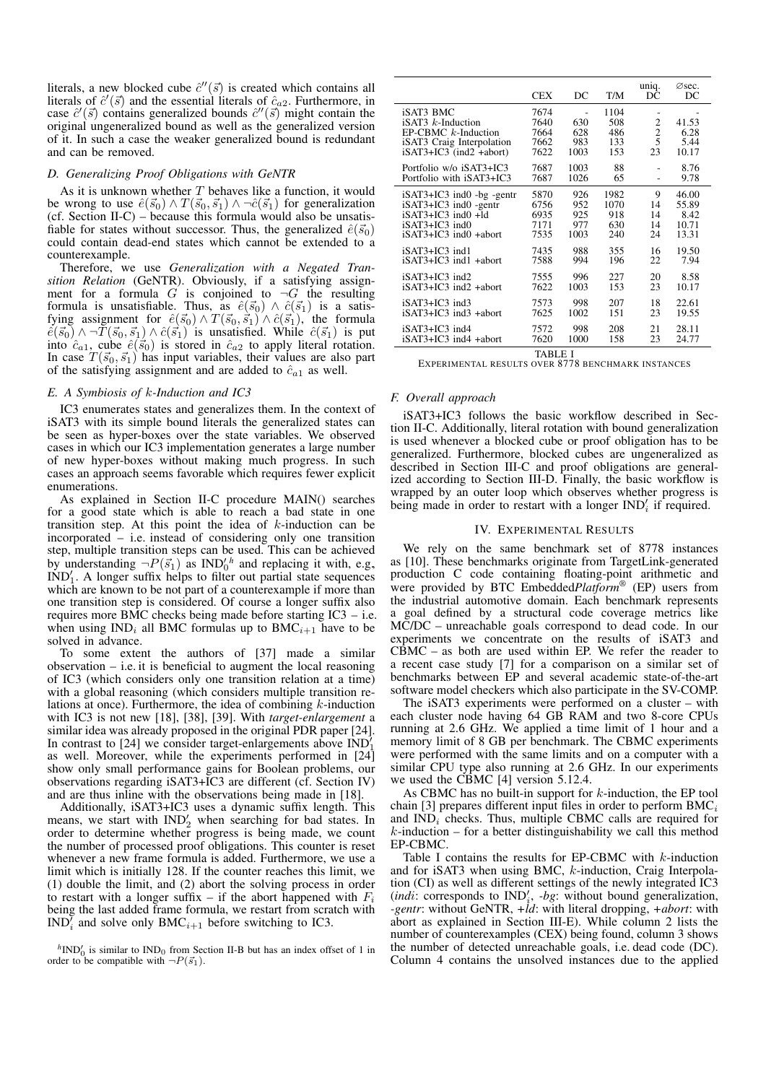literals, a new blocked cube  $\hat{c}''(\vec{s})$  is created which contains all literals of  $\hat{c}'(\vec{s})$  and the essential literals of  $\hat{c}_{a2}$ . Furthermore, in case  $\hat{c}'(\vec{s})$  contains generalized bounds  $\hat{c}''(\vec{s})$  might contain the original ungeneralized bound as well as the generalized version of it. In such a case the weaker generalized bound is redundant and can be removed.

## *D. Generalizing Proof Obligations with GeNTR*

As it is unknown whether  $T$  behaves like a function, it would be wrong to use  $\hat{e}(\vec{s}_0) \wedge T(\vec{s}_0, \vec{s}_1) \wedge \neg \hat{c}(\vec{s}_1)$  for generalization  $(cf. Section II-C) - because this formula would also be unsatisfies.$ fiable for states without successor. Thus, the generalized  $\hat{e}(\vec{s}_0)$ could contain dead-end states which cannot be extended to a counterexample.

Therefore, we use *Generalization with a Negated Transition Relation* (GeNTR). Obviously, if a satisfying assignment for a formula G is conjoined to  $\neg G$  the resulting formula is unsatisfiable. Thus, as  $\hat{e}(\vec{s_0}) \wedge \hat{c}(\vec{s_1})$  is a satisfying assignment for  $\hat{e}(\vec{s}_0) \wedge T(\vec{s}_0, \vec{s}_1) \wedge \hat{c}(\vec{s}_1)$ , the formula  $\hat{e}(\vec{s_0}) \wedge \neg T(\vec{s_0}, \vec{s_1}) \wedge \hat{c}(\vec{s_1})$  is unsatisfied. While  $\hat{c}(\vec{s_1})$  is put into  $\hat{c}_{a1}$ , cube  $\hat{e}(\vec{s}_0)$  is stored in  $\hat{c}_{a2}$  to apply literal rotation. In case  $T(\vec{s}_0, \vec{s}_1)$  has input variables, their values are also part of the satisfying assignment and are added to  $\hat{c}_{a1}$  as well.

#### *E. A Symbiosis of* k*-Induction and IC3*

IC3 enumerates states and generalizes them. In the context of iSAT3 with its simple bound literals the generalized states can be seen as hyper-boxes over the state variables. We observed cases in which our IC3 implementation generates a large number of new hyper-boxes without making much progress. In such cases an approach seems favorable which requires fewer explicit enumerations.

As explained in Section II-C procedure MAIN() searches for a good state which is able to reach a bad state in one transition step. At this point the idea of  $k$ -induction can be incorporated – i.e. instead of considering only one transition step, multiple transition steps can be used. This can be achieved by understanding  $\neg P(\vec{s}_1)$  as  $\text{IND}_0'^h$  and replacing it with, e.g.,  $\text{IND}_1'$ . A longer suffix helps to filter out partial state sequences which are known to be not part of a counterexample if more than one transition step is considered. Of course a longer suffix also requires more BMC checks being made before starting IC3 – i.e. when using  $IND_i$  all BMC formulas up to BMC<sub>i+1</sub> have to be solved in advance.

To some extent the authors of [37] made a similar observation  $-$  i.e. it is beneficial to augment the local reasoning of IC3 (which considers only one transition relation at a time) with a global reasoning (which considers multiple transition relations at once). Furthermore, the idea of combining  $k$ -induction with IC3 is not new [18], [38], [39]. With *target-enlargement* a similar idea was already proposed in the original PDR paper [24]. In contrast to  $[24]$  we consider target-enlargements above  $IND<sup>1</sup>$ In contrast to  $[24]$  we consider target-emargements above  $[102]$  as well. Moreover, while the experiments performed in  $[24]$ show only small performance gains for Boolean problems, our observations regarding iSAT3+IC3 are different (cf. Section IV) and are thus inline with the observations being made in [18].

Additionally, iSAT3+IC3 uses a dynamic suffix length. This means, we start with  $IND'_2$  when searching for bad states. In order to determine whether progress is being made, we count the number of processed proof obligations. This counter is reset whenever a new frame formula is added. Furthermore, we use a limit which is initially 128. If the counter reaches this limit, we (1) double the limit, and (2) abort the solving process in order to restart with a longer suffix – if the abort happened with  $F_i$ being the last added frame formula, we restart from scratch with  $IND_i^{\gamma}$  and solve only BMC<sub>i+1</sub> before switching to IC3.

 $h^h$ IND<sup>'</sup><sub>0</sub> is similar to IND<sub>0</sub> from Section II-B but has an index offset of 1 in order to be compatible with  $\neg P(\vec{s}_1)$ .

|                                                                                                                   | <b>CEX</b>                           | DC                                          | T/M                              | uniq.<br>DC              | Øsec.<br>DC                    |
|-------------------------------------------------------------------------------------------------------------------|--------------------------------------|---------------------------------------------|----------------------------------|--------------------------|--------------------------------|
| iSAT3 BMC<br>$iSAT3$ k-Induction<br>EP-CBMC k-Induction<br>iSAT3 Craig Interpolation<br>$iSAT3+IC3$ (ind2 +abort) | 7674<br>7640<br>7664<br>7662<br>7622 | $\overline{a}$<br>630<br>628<br>983<br>1003 | 1104<br>508<br>486<br>133<br>153 | 2<br>$\frac{2}{5}$<br>23 | 41.53<br>6.28<br>5.44<br>10.17 |
| Portfolio w/o iSAT3+IC3                                                                                           | 7687                                 | 1003                                        | 88                               | -                        | 8.76                           |
| Portfolio with iSAT3+IC3                                                                                          | 7687                                 | 1026                                        | 65                               |                          | 9.78                           |
| $iSAT3+IC3$ ind $0$ -bg -gentr                                                                                    | 5870                                 | 926                                         | 1982                             | 9                        | 46.00                          |
| iSAT3+IC3 ind0 -gentr                                                                                             | 6756                                 | 952                                         | 1070                             | 14                       | 55.89                          |
| $iSAT3+IC3$ ind $0+Id$                                                                                            | 6935                                 | 925                                         | 918                              | 14                       | 8.42                           |
| iSAT3+IC3 ind0                                                                                                    | 7171                                 | 977                                         | 630                              | 14                       | 10.71                          |
| iSAT3+IC3 ind0 +abort                                                                                             | 7535                                 | 1003                                        | 240                              | 24                       | 13.31                          |
| $iSAT3+IC3$ ind 1                                                                                                 | 7435                                 | 988                                         | 355                              | 16                       | 19.50                          |
| iSAT3+IC3 ind1 +abort                                                                                             | 7588                                 | 994                                         | 196                              | 22                       | 7.94                           |
| $iSAT3+IC3$ ind2                                                                                                  | 7555                                 | 996                                         | 227                              | 20                       | 8.58                           |
| iSAT3+IC3 ind2 +abort                                                                                             | 7622                                 | 1003                                        | 153                              | 23                       | 10.17                          |
| iSAT3+IC3 ind3                                                                                                    | 7573                                 | 998                                         | 207                              | 18                       | 22.61                          |
| iSAT3+IC3 ind3 +abort                                                                                             | 7625                                 | 1002                                        | 151                              | 23                       | 19.55                          |
| iSAT3+IC3 ind4                                                                                                    | 7572                                 | 998                                         | 208                              | 21                       | 28.11                          |
| iSAT3+IC3 ind4 +abort                                                                                             | 7620                                 | 1000                                        | 158                              | 23                       | 24.77                          |
| <b>TABLE I</b>                                                                                                    |                                      |                                             |                                  |                          |                                |

EXPERIMENTAL RESULTS OVER 8778 BENCHMARK INSTANCES

#### *F. Overall approach*

iSAT3+IC3 follows the basic workflow described in Section II-C. Additionally, literal rotation with bound generalization is used whenever a blocked cube or proof obligation has to be generalized. Furthermore, blocked cubes are ungeneralized as described in Section III-C and proof obligations are generalized according to Section III-D. Finally, the basic workflow is wrapped by an outer loop which observes whether progress is being made in order to restart with a longer  $IND'_i$  if required.

#### IV. EXPERIMENTAL RESULTS

We rely on the same benchmark set of 8778 instances as [10]. These benchmarks originate from TargetLink-generated production C code containing floating-point arithmetic and were provided by BTC Embedded*Platform*® (EP) users from the industrial automotive domain. Each benchmark represents a goal defined by a structural code coverage metrics like MC/DC – unreachable goals correspond to dead code. In our experiments we concentrate on the results of iSAT3 and  $C\overline{B}MC$  – as both are used within EP. We refer the reader to a recent case study [7] for a comparison on a similar set of benchmarks between EP and several academic state-of-the-art software model checkers which also participate in the SV-COMP.

The iSAT3 experiments were performed on a cluster – with each cluster node having 64 GB RAM and two 8-core CPUs running at 2.6 GHz. We applied a time limit of 1 hour and a memory limit of 8 GB per benchmark. The CBMC experiments were performed with the same limits and on a computer with a similar CPU type also running at 2.6 GHz. In our experiments we used the CBMC [4] version 5.12.4.

As CBMC has no built-in support for  $k$ -induction, the EP tool chain [3] prepares different input files in order to perform  $BMC_i$ and  $IND<sub>i</sub>$  checks. Thus, multiple CBMC calls are required for  $k$ -induction – for a better distinguishability we call this method EP-CBMC.

Table I contains the results for EP-CBMC with  $k$ -induction and for iSAT3 when using BMC, k-induction, Craig Interpolation (CI) as well as different settings of the newly integrated IC3  $(indi: corresponds to IND'_i, -bg: without bound generalization,$ *-gentr*: without GeNTR, *+ld*: with literal dropping, *+abort*: with abort as explained in Section III-E). While column 2 lists the number of counterexamples (CEX) being found, column 3 shows the number of detected unreachable goals, i.e. dead code (DC). Column 4 contains the unsolved instances due to the applied